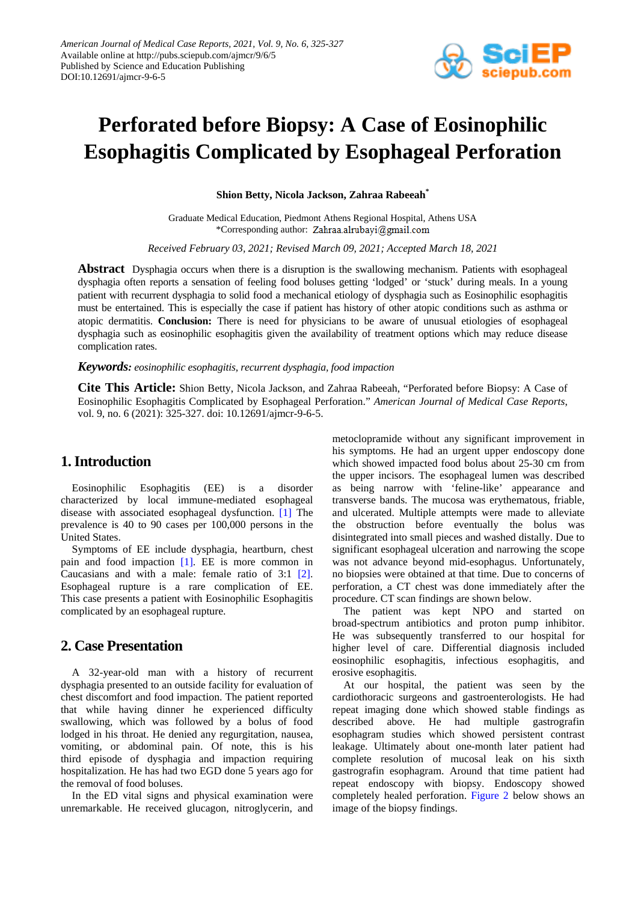

# **Perforated before Biopsy: A Case of Eosinophilic Esophagitis Complicated by Esophageal Perforation**

**Shion Betty, Nicola Jackson, Zahraa Rabeeah\***

Graduate Medical Education, Piedmont Athens Regional Hospital, Athens USA \*Corresponding author: Zahraa.alrubayi@gmail.com

*Received February 03, 2021; Revised March 09, 2021; Accepted March 18, 2021*

**Abstract** Dysphagia occurs when there is a disruption is the swallowing mechanism. Patients with esophageal dysphagia often reports a sensation of feeling food boluses getting 'lodged' or 'stuck' during meals. In a young patient with recurrent dysphagia to solid food a mechanical etiology of dysphagia such as Eosinophilic esophagitis must be entertained. This is especially the case if patient has history of other atopic conditions such as asthma or atopic dermatitis. **Conclusion:** There is need for physicians to be aware of unusual etiologies of esophageal dysphagia such as eosinophilic esophagitis given the availability of treatment options which may reduce disease complication rates.

#### *Keywords: eosinophilic esophagitis, recurrent dysphagia, food impaction*

**Cite This Article:** Shion Betty, Nicola Jackson, and Zahraa Rabeeah, "Perforated before Biopsy: A Case of Eosinophilic Esophagitis Complicated by Esophageal Perforation." *American Journal of Medical Case Reports*, vol. 9, no. 6 (2021): 325-327. doi: 10.12691/ajmcr-9-6-5.

#### **1. Introduction**

Eosinophilic Esophagitis (EE) is a disorder characterized by local immune-mediated esophageal disease with associated esophageal dysfunction. [\[1\]](#page-2-0) The prevalence is 40 to 90 cases per 100,000 persons in the United States.

Symptoms of EE include dysphagia, heartburn, chest pain and food impaction [\[1\].](#page-2-0) EE is more common in Caucasians and with a male: female ratio of 3:1 [\[2\].](#page-2-1) Esophageal rupture is a rare complication of EE. This case presents a patient with Eosinophilic Esophagitis complicated by an esophageal rupture.

## **2. Case Presentation**

A 32-year-old man with a history of recurrent dysphagia presented to an outside facility for evaluation of chest discomfort and food impaction. The patient reported that while having dinner he experienced difficulty swallowing, which was followed by a bolus of food lodged in his throat. He denied any regurgitation, nausea, vomiting, or abdominal pain. Of note, this is his third episode of dysphagia and impaction requiring hospitalization. He has had two EGD done 5 years ago for the removal of food boluses.

In the ED vital signs and physical examination were unremarkable. He received glucagon, nitroglycerin, and metoclopramide without any significant improvement in his symptoms. He had an urgent upper endoscopy done which showed impacted food bolus about 25-30 cm from the upper incisors. The esophageal lumen was described as being narrow with 'feline-like' appearance and transverse bands. The mucosa was erythematous, friable, and ulcerated. Multiple attempts were made to alleviate the obstruction before eventually the bolus was disintegrated into small pieces and washed distally. Due to significant esophageal ulceration and narrowing the scope was not advance beyond mid-esophagus. Unfortunately, no biopsies were obtained at that time. Due to concerns of perforation, a CT chest was done immediately after the procedure. CT scan findings are shown below.

The patient was kept NPO and started on broad-spectrum antibiotics and proton pump inhibitor. He was subsequently transferred to our hospital for higher level of care. Differential diagnosis included eosinophilic esophagitis, infectious esophagitis, and erosive esophagitis.

At our hospital, the patient was seen by the cardiothoracic surgeons and gastroenterologists. He had repeat imaging done which showed stable findings as described above. He had multiple gastrografin esophagram studies which showed persistent contrast leakage. Ultimately about one-month later patient had complete resolution of mucosal leak on his sixth gastrografin esophagram. Around that time patient had repeat endoscopy with biopsy. Endoscopy showed completely healed perforation. [Figure 2](#page-1-0) below shows an image of the biopsy findings.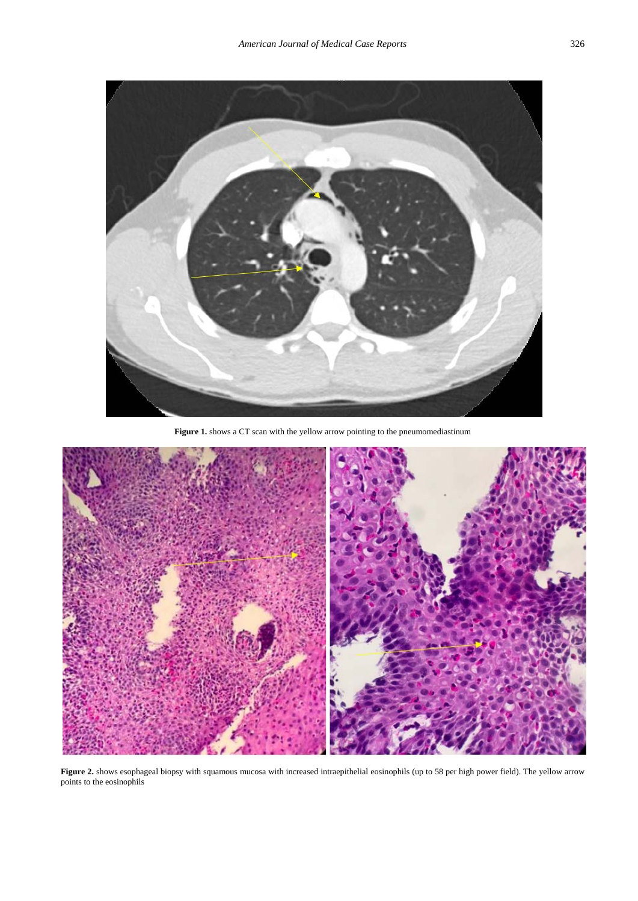

Figure 1. shows a CT scan with the yellow arrow pointing to the pneumomediastinum

<span id="page-1-0"></span>

Figure 2. shows esophageal biopsy with squamous mucosa with increased intraepithelial eosinophils (up to 58 per high power field). The yellow arrow points to the eosinophils